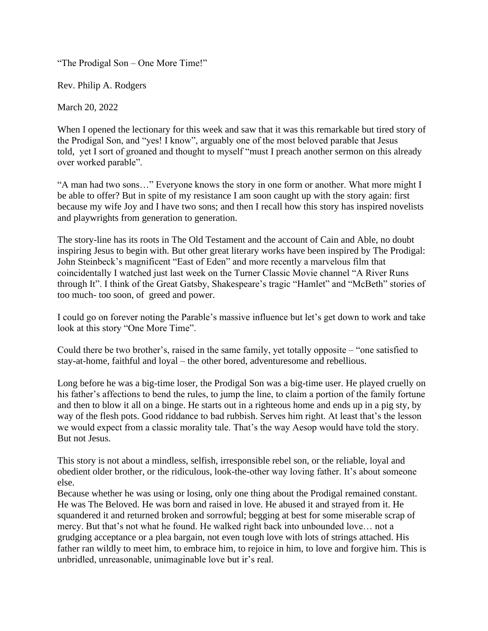"The Prodigal Son – One More Time!"

Rev. Philip A. Rodgers

March 20, 2022

When I opened the lectionary for this week and saw that it was this remarkable but tired story of the Prodigal Son, and "yes! I know", arguably one of the most beloved parable that Jesus told, yet I sort of groaned and thought to myself "must I preach another sermon on this already over worked parable".

"A man had two sons…" Everyone knows the story in one form or another. What more might I be able to offer? But in spite of my resistance I am soon caught up with the story again: first because my wife Joy and I have two sons; and then I recall how this story has inspired novelists and playwrights from generation to generation.

The story-line has its roots in The Old Testament and the account of Cain and Able, no doubt inspiring Jesus to begin with. But other great literary works have been inspired by The Prodigal: John Steinbeck's magnificent "East of Eden" and more recently a marvelous film that coincidentally I watched just last week on the Turner Classic Movie channel "A River Runs through It". I think of the Great Gatsby, Shakespeare's tragic "Hamlet" and "McBeth" stories of too much- too soon, of greed and power.

I could go on forever noting the Parable's massive influence but let's get down to work and take look at this story "One More Time".

Could there be two brother's, raised in the same family, yet totally opposite – "one satisfied to stay-at-home, faithful and loyal – the other bored, adventuresome and rebellious.

Long before he was a big-time loser, the Prodigal Son was a big-time user. He played cruelly on his father's affections to bend the rules, to jump the line, to claim a portion of the family fortune and then to blow it all on a binge. He starts out in a righteous home and ends up in a pig sty, by way of the flesh pots. Good riddance to bad rubbish. Serves him right. At least that's the lesson we would expect from a classic morality tale. That's the way Aesop would have told the story. But not Jesus.

This story is not about a mindless, selfish, irresponsible rebel son, or the reliable, loyal and obedient older brother, or the ridiculous, look-the-other way loving father. It's about someone else.

Because whether he was using or losing, only one thing about the Prodigal remained constant. He was The Beloved. He was born and raised in love. He abused it and strayed from it. He squandered it and returned broken and sorrowful; begging at best for some miserable scrap of mercy. But that's not what he found. He walked right back into unbounded love… not a grudging acceptance or a plea bargain, not even tough love with lots of strings attached. His father ran wildly to meet him, to embrace him, to rejoice in him, to love and forgive him. This is unbridled, unreasonable, unimaginable love but ir's real.